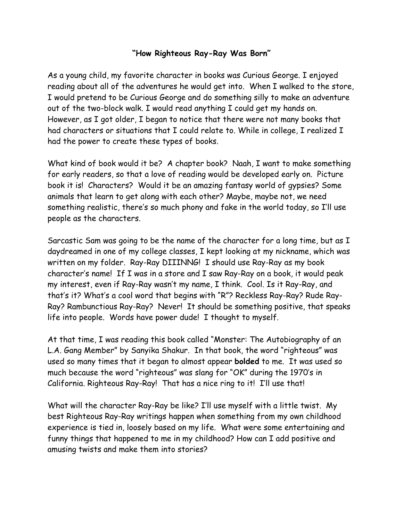## **"How Righteous Ray-Ray Was Born"**

As a young child, my favorite character in books was Curious George. I enjoyed reading about all of the adventures he would get into. When I walked to the store, I would pretend to be Curious George and do something silly to make an adventure out of the two-block walk. I would read anything I could get my hands on. However, as I got older, I began to notice that there were not many books that had characters or situations that I could relate to. While in college, I realized I had the power to create these types of books.

What kind of book would it be? A chapter book? Naah, I want to make something for early readers, so that a love of reading would be developed early on. Picture book it is! Characters? Would it be an amazing fantasy world of gypsies? Some animals that learn to get along with each other? Maybe, maybe not, we need something realistic, there's so much phony and fake in the world today, so I'll use people as the characters.

Sarcastic Sam was going to be the name of the character for a long time, but as I daydreamed in one of my college classes, I kept looking at my nickname, which was written on my folder. Ray-Ray DIIINNG! I should use Ray-Ray as my book character's name! If I was in a store and I saw Ray-Ray on a book, it would peak my interest, even if Ray-Ray wasn't my name, I think. Cool. Is it Ray-Ray, and that's it? What's a cool word that begins with "R"? Reckless Ray-Ray? Rude Ray-Ray? Rambunctious Ray-Ray? Never! It should be something positive, that speaks life into people. Words have power dude! I thought to myself.

At that time, I was reading this book called "Monster: The Autobiography of an L.A. Gang Member" by Sanyika Shakur. In that book, the word "righteous" was used so many times that it began to almost appear **bolded** to me. It was used so much because the word "righteous" was slang for "OK" during the 1970's in California. Righteous Ray-Ray! That has a nice ring to it! I'll use that!

What will the character Ray-Ray be like? I'll use myself with a little twist. My best Righteous Ray-Ray writings happen when something from my own childhood experience is tied in, loosely based on my life. What were some entertaining and funny things that happened to me in my childhood? How can I add positive and amusing twists and make them into stories?